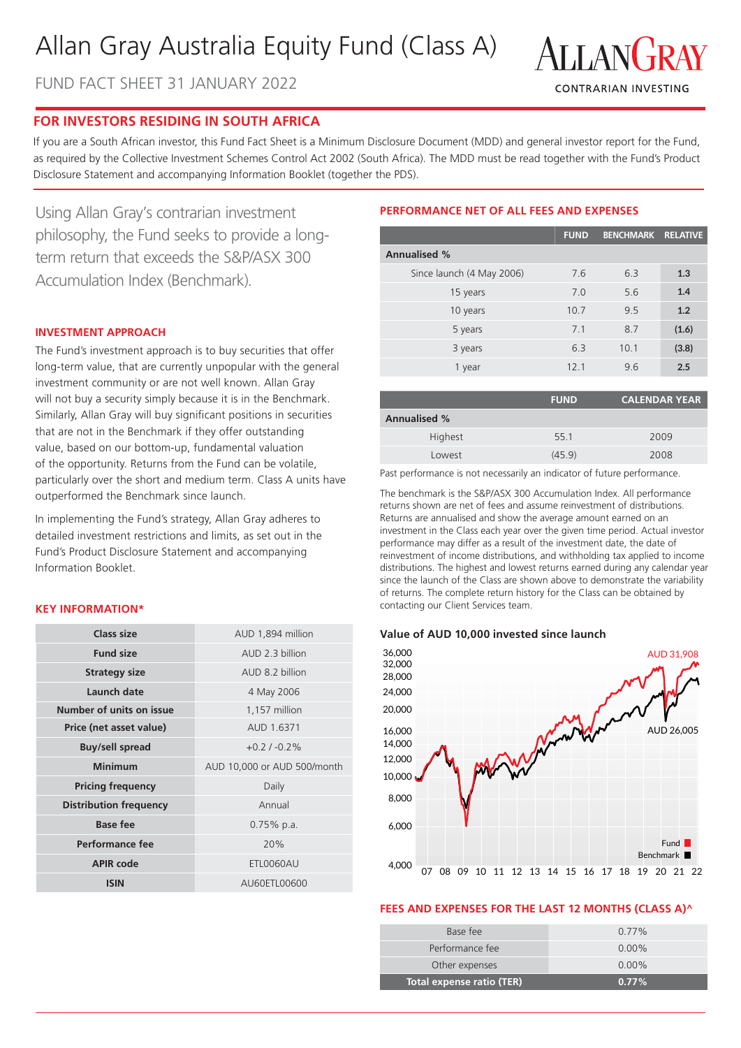# Allan Gray Australia Equity Fund (Class A)

FUND FACT SHEET 31 JANUARY 2022



# **FOR INVESTORS RESIDING IN SOUTH AFRICA**

If you are a South African investor, this Fund Fact Sheet is a Minimum Disclosure Document (MDD) and general investor report for the Fund, as required by the Collective Investment Schemes Control Act 2002 (South Africa). The MDD must be read together with the Fund's Product Disclosure Statement and accompanying Information Booklet (together the PDS).

Using Allan Gray's contrarian investment philosophy, the Fund seeks to provide a longterm return that exceeds the S&P/ASX 300 Accumulation Index (Benchmark).

# **INVESTMENT APPROACH**

The Fund's investment approach is to buy securities that offer long-term value, that are currently unpopular with the general investment community or are not well known. Allan Gray will not buy a security simply because it is in the Benchmark. Similarly, Allan Gray will buy significant positions in securities that are not in the Benchmark if they offer outstanding value, based on our bottom-up, fundamental valuation of the opportunity. Returns from the Fund can be volatile, particularly over the short and medium term. Class A units have outperformed the Benchmark since launch.

In implementing the Fund's strategy, Allan Gray adheres to detailed investment restrictions and limits, as set out in the Fund's Product Disclosure Statement and accompanying Information Booklet.

### **KEY INFORMATION\***

| Class size                    | AUD 1,894 million           |  |  |
|-------------------------------|-----------------------------|--|--|
| <b>Fund size</b>              | AUD 2.3 billion             |  |  |
| <b>Strategy size</b>          | AUD 8.2 billion             |  |  |
| Launch date                   | 4 May 2006                  |  |  |
| Number of units on issue      | 1,157 million               |  |  |
| Price (net asset value)       | AUD 1.6371                  |  |  |
| <b>Buy/sell spread</b>        | $+0.2/ -0.2\%$              |  |  |
|                               |                             |  |  |
| <b>Minimum</b>                | AUD 10,000 or AUD 500/month |  |  |
| <b>Pricing frequency</b>      | Daily                       |  |  |
| <b>Distribution frequency</b> | Annual                      |  |  |
| Base fee                      | $0.75\%$ p.a.               |  |  |
| Performance fee               | 20%                         |  |  |
| <b>APIR code</b>              | ETL0060AU                   |  |  |

# **PERFORMANCE NET OF ALL FEES AND EXPENSES**

|                           | <b>FUND</b> | <b>BENCHMARK</b> | <b>RELATIVE</b> |
|---------------------------|-------------|------------------|-----------------|
| <b>Annualised %</b>       |             |                  |                 |
| Since launch (4 May 2006) | 7.6         | 6.3              | 1.3             |
| 15 years                  | 7.0         | 5.6              | 1.4             |
| 10 years                  | 10.7        | 9.5              | 1.2             |
| 5 years                   | 7.1         | 8.7              | (1.6)           |
| 3 years                   | 6.3         | 10.1             | (3.8)           |
| 1 year                    | 12.1        | 9.6              | 2.5             |

|                     | <b>FUND</b> | <b>CALENDAR YEAR</b> |
|---------------------|-------------|----------------------|
| <b>Annualised %</b> |             |                      |
| Highest             | 55.1        | 2009                 |
| Lowest              | (45.9)      | 2008                 |

Past performance is not necessarily an indicator of future performance.

The benchmark is the S&P/ASX 300 Accumulation Index. All performance returns shown are net of fees and assume reinvestment of distributions. Returns are annualised and show the average amount earned on an investment in the Class each year over the given time period. Actual investor performance may differ as a result of the investment date, the date of reinvestment of income distributions, and withholding tax applied to income distributions. The highest and lowest returns earned during any calendar year since the launch of the Class are shown above to demonstrate the variability of returns. The complete return history for the Class can be obtained by contacting our Client Services team.

#### **Value of AUD 10,000 invested since launch**



# **FEES AND EXPENSES FOR THE LAST 12 MONTHS (CLASS A)^**

| Base fee                  | $0.77\%$ |
|---------------------------|----------|
| Performance fee           | $0.00\%$ |
| Other expenses            | $0.00\%$ |
| Total expense ratio (TER) | $0.77\%$ |